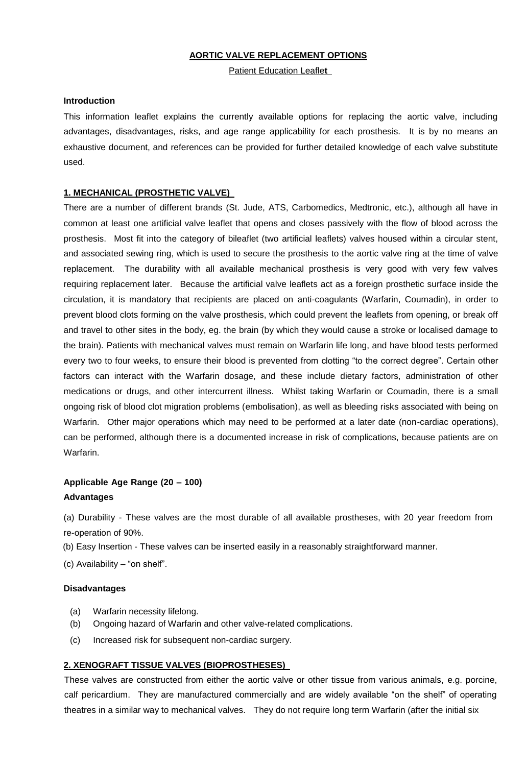## **AORTIC VALVE REPLACEMENT OPTIONS**

Patient Education Leafle**t** 

#### **Introduction**

This information leaflet explains the currently available options for replacing the aortic valve, including advantages, disadvantages, risks, and age range applicability for each prosthesis. It is by no means an exhaustive document, and references can be provided for further detailed knowledge of each valve substitute used.

### **1. MECHANICAL (PROSTHETIC VALVE)**

There are a number of different brands (St. Jude, ATS, Carbomedics, Medtronic, etc.), although all have in common at least one artificial valve leaflet that opens and closes passively with the flow of blood across the prosthesis. Most fit into the category of bileaflet (two artificial leaflets) valves housed within a circular stent, and associated sewing ring, which is used to secure the prosthesis to the aortic valve ring at the time of valve replacement. The durability with all available mechanical prosthesis is very good with very few valves requiring replacement later. Because the artificial valve leaflets act as a foreign prosthetic surface inside the circulation, it is mandatory that recipients are placed on anti-coagulants (Warfarin, Coumadin), in order to prevent blood clots forming on the valve prosthesis, which could prevent the leaflets from opening, or break off and travel to other sites in the body, eg. the brain (by which they would cause a stroke or localised damage to the brain). Patients with mechanical valves must remain on Warfarin life long, and have blood tests performed every two to four weeks, to ensure their blood is prevented from clotting "to the correct degree". Certain other factors can interact with the Warfarin dosage, and these include dietary factors, administration of other medications or drugs, and other intercurrent illness. Whilst taking Warfarin or Coumadin, there is a small ongoing risk of blood clot migration problems (embolisation), as well as bleeding risks associated with being on Warfarin. Other major operations which may need to be performed at a later date (non-cardiac operations), can be performed, although there is a documented increase in risk of complications, because patients are on Warfarin.

# **Applicable Age Range (20 – 100) Advantages**

(a) Durability - These valves are the most durable of all available prostheses, with 20 year freedom from re-operation of 90%.

(b) Easy Insertion - These valves can be inserted easily in a reasonably straightforward manner.

(c) Availability – "on shelf".

#### **Disadvantages**

- (a) Warfarin necessity lifelong.
- (b) Ongoing hazard of Warfarin and other valve-related complications.
- (c) Increased risk for subsequent non-cardiac surgery.

# **2. XENOGRAFT TISSUE VALVES (BIOPROSTHESES)**

These valves are constructed from either the aortic valve or other tissue from various animals, e.g. porcine, calf pericardium. They are manufactured commercially and are widely available "on the shelf" of operating theatres in a similar way to mechanical valves. They do not require long term Warfarin (after the initial six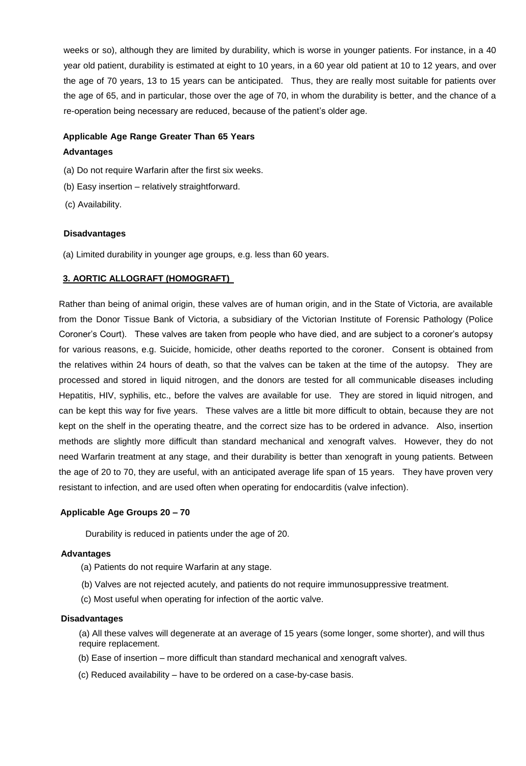weeks or so), although they are limited by durability, which is worse in younger patients. For instance, in a 40 year old patient, durability is estimated at eight to 10 years, in a 60 year old patient at 10 to 12 years, and over the age of 70 years, 13 to 15 years can be anticipated. Thus, they are really most suitable for patients over the age of 65, and in particular, those over the age of 70, in whom the durability is better, and the chance of a re-operation being necessary are reduced, because of the patient's older age.

# **Applicable Age Range Greater Than 65 Years**

# **Advantages**

- (a) Do not require Warfarin after the first six weeks.
- (b) Easy insertion relatively straightforward.
- (c) Availability.

# **Disadvantages**

(a) Limited durability in younger age groups, e.g. less than 60 years.

# **3. AORTIC ALLOGRAFT (HOMOGRAFT)**

Rather than being of animal origin, these valves are of human origin, and in the State of Victoria, are available from the Donor Tissue Bank of Victoria, a subsidiary of the Victorian Institute of Forensic Pathology (Police Coroner's Court). These valves are taken from people who have died, and are subject to a coroner's autopsy for various reasons, e.g. Suicide, homicide, other deaths reported to the coroner. Consent is obtained from the relatives within 24 hours of death, so that the valves can be taken at the time of the autopsy. They are processed and stored in liquid nitrogen, and the donors are tested for all communicable diseases including Hepatitis, HIV, syphilis, etc., before the valves are available for use. They are stored in liquid nitrogen, and can be kept this way for five years. These valves are a little bit more difficult to obtain, because they are not kept on the shelf in the operating theatre, and the correct size has to be ordered in advance. Also, insertion methods are slightly more difficult than standard mechanical and xenograft valves. However, they do not need Warfarin treatment at any stage, and their durability is better than xenograft in young patients. Between the age of 20 to 70, they are useful, with an anticipated average life span of 15 years. They have proven very resistant to infection, and are used often when operating for endocarditis (valve infection).

## **Applicable Age Groups 20 – 70**

Durability is reduced in patients under the age of 20.

## **Advantages**

- (a) Patients do not require Warfarin at any stage.
- (b) Valves are not rejected acutely, and patients do not require immunosuppressive treatment.
- (c) Most useful when operating for infection of the aortic valve.

# **Disadvantages**

(a) All these valves will degenerate at an average of 15 years (some longer, some shorter), and will thus require replacement.

- (b) Ease of insertion more difficult than standard mechanical and xenograft valves.
- (c) Reduced availability have to be ordered on a case-by-case basis.